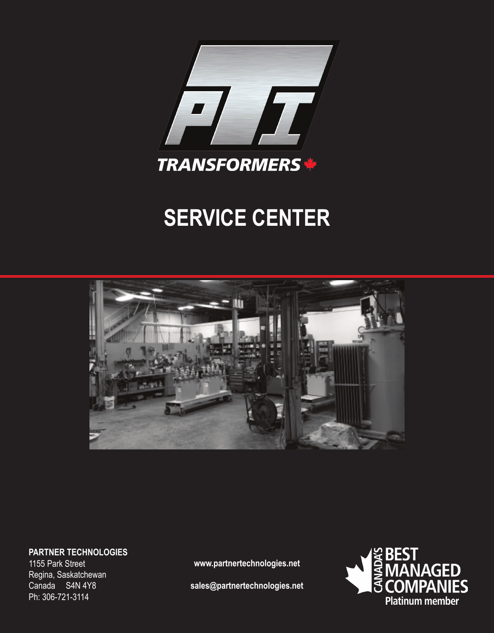

# **SERVICE CENTER**



**PARTNER TECHNOLOGIES**

1155 Park Street Regina, Saskatchewan Canada S4N 4Y8 Ph: 306-721-3114

**www.partnertechnologies.net**

**sales@partnertechnologies.net**